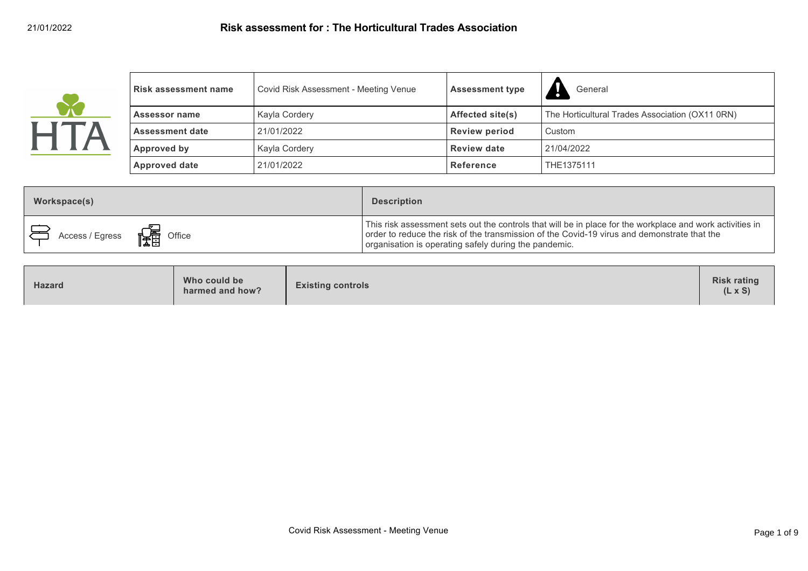| <b>Risk assessment name</b> | Covid Risk Assessment - Meeting Venue | <b>Assessment type</b> | General                                         |
|-----------------------------|---------------------------------------|------------------------|-------------------------------------------------|
| Assessor name               | Kayla Cordery                         | Affected site(s)       | The Horticultural Trades Association (OX11 0RN) |
| <b>Assessment date</b>      | 21/01/2022                            | <b>Review period</b>   | Custom                                          |
| Approved by                 | Kayla Cordery                         | <b>Review date</b>     | 21/04/2022                                      |
| <b>Approved date</b>        | 21/01/2022                            | Reference              | THE1375111                                      |

| Workspace(s)                                   | <b>Description</b>                                                                                                                                                                                                                                                |
|------------------------------------------------|-------------------------------------------------------------------------------------------------------------------------------------------------------------------------------------------------------------------------------------------------------------------|
| Access / Egress $\frac{1}{\sqrt{2\pi}}$ Office | This risk assessment sets out the controls that will be in place for the workplace and work activities in<br>order to reduce the risk of the transmission of the Covid-19 virus and demonstrate that the<br>organisation is operating safely during the pandemic. |

| <b>Risk rating</b><br>Who could be<br><b>Existing controls</b><br><b>Hazard</b><br>$(L \times S)$<br>harmed and how? |
|----------------------------------------------------------------------------------------------------------------------|
|----------------------------------------------------------------------------------------------------------------------|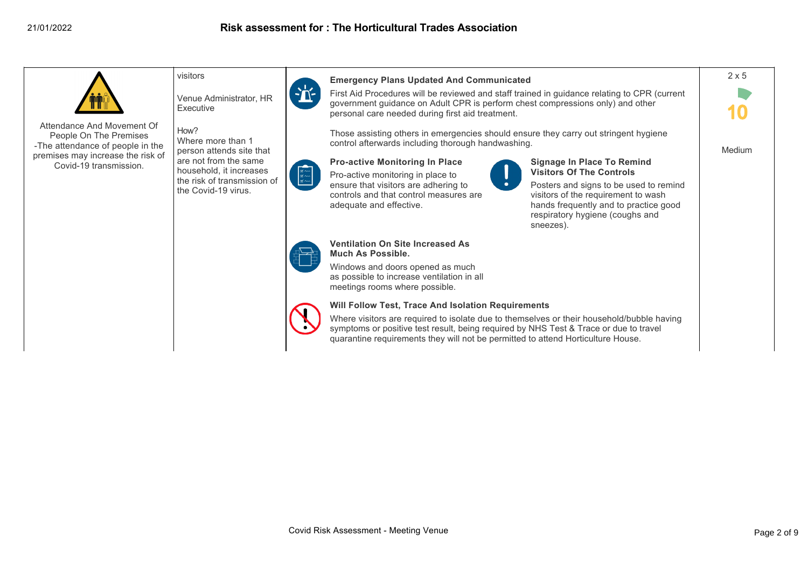

People On The Premises -The attendance of people in the premises may increase the risk of Covid-19 transmission.

Venue Administrator, HR **Executive** 

How? Where more than 1 person attends site that are not from the same household, it increases the risk of transmission of the Covid-19 virus.



**Emergency Plans Updated And Communicated**

First Aid Procedures will be reviewed and staff trained in guidance relating to CPR (current government guidance on Adult CPR is perform chest compressions only) and other personal care needed during first aid treatment.

Those assisting others in emergencies should ensure they carry out stringent hygiene control afterwards including thorough handwashing.



**Pro-active Monitoring In Place**

Pro-active monitoring in place to ensure that visitors are adhering to controls and that control measures are adequate and effective.



### **Signage In Place To Remind Visitors Of The Controls**

Posters and signs to be used to remind visitors of the requirement to wash hands frequently and to practice good respiratory hygiene (coughs and sneezes).



#### **Ventilation On Site Increased As Much As Possible.**

Windows and doors opened as much as possible to increase ventilation in all meetings rooms where possible.

# **Will Follow Test, Trace And Isolation Requirements**

Where visitors are required to isolate due to themselves or their household/bubble having symptoms or positive test result, being required by NHS Test & Trace or due to travel quarantine requirements they will not be permitted to attend Horticulture House.



Medium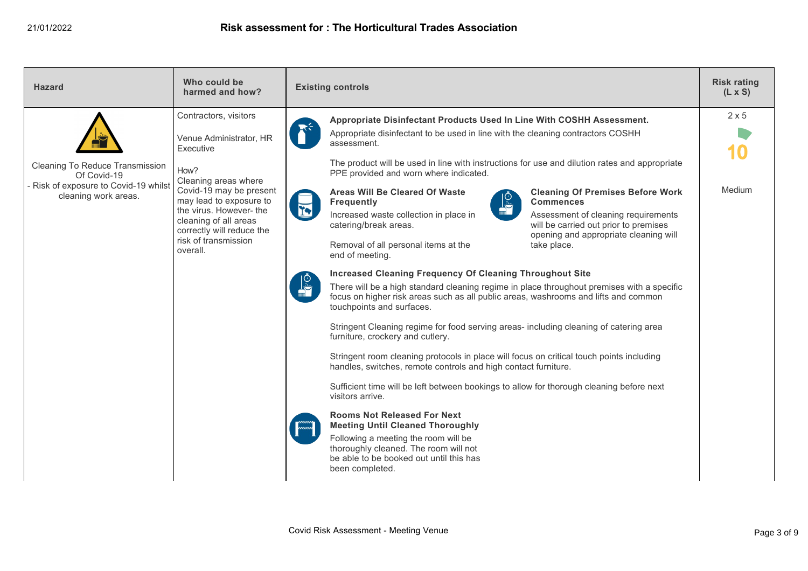| <b>Hazard</b>                                                                                                   | Who could be<br>harmed and how?                                                                                                             | <b>Existing controls</b>                                                                                                                                                                                                                                                                                                                                                                                                                                                                                                                                                                                                                                                                                                                    | <b>Risk rating</b><br>$(L \times S)$ |
|-----------------------------------------------------------------------------------------------------------------|---------------------------------------------------------------------------------------------------------------------------------------------|---------------------------------------------------------------------------------------------------------------------------------------------------------------------------------------------------------------------------------------------------------------------------------------------------------------------------------------------------------------------------------------------------------------------------------------------------------------------------------------------------------------------------------------------------------------------------------------------------------------------------------------------------------------------------------------------------------------------------------------------|--------------------------------------|
| Cleaning To Reduce Transmission<br>Of Covid-19<br>- Risk of exposure to Covid-19 whilst<br>cleaning work areas. | Contractors, visitors<br>Venue Administrator, HR<br>Executive<br>How?<br>Cleaning areas where<br>Covid-19 may be present                    | Appropriate Disinfectant Products Used In Line With COSHH Assessment.<br>Appropriate disinfectant to be used in line with the cleaning contractors COSHH<br>assessment.<br>The product will be used in line with instructions for use and dilution rates and appropriate<br>PPE provided and worn where indicated.<br><b>Areas Will Be Cleared Of Waste</b><br><b>Cleaning Of Premises Before Work</b>                                                                                                                                                                                                                                                                                                                                      | $2 \times 5$<br>Medium               |
|                                                                                                                 | may lead to exposure to<br>the virus. However-the<br>cleaning of all areas<br>correctly will reduce the<br>risk of transmission<br>overall. | <b>Frequently</b><br><b>Commences</b><br><u>ist</u><br>Increased waste collection in place in<br>Assessment of cleaning requirements<br>catering/break areas.<br>will be carried out prior to premises<br>opening and appropriate cleaning will<br>Removal of all personal items at the<br>take place.<br>end of meeting.<br><b>Increased Cleaning Frequency Of Cleaning Throughout Site</b><br>There will be a high standard cleaning regime in place throughout premises with a specific<br>focus on higher risk areas such as all public areas, washrooms and lifts and common<br>touchpoints and surfaces.<br>Stringent Cleaning regime for food serving areas- including cleaning of catering area<br>furniture, crockery and cutlery. |                                      |
|                                                                                                                 |                                                                                                                                             | Stringent room cleaning protocols in place will focus on critical touch points including<br>handles, switches, remote controls and high contact furniture.<br>Sufficient time will be left between bookings to allow for thorough cleaning before next<br>visitors arrive.<br><b>Rooms Not Released For Next</b><br><b>Meeting Until Cleaned Thoroughly</b><br>Following a meeting the room will be<br>thoroughly cleaned. The room will not<br>be able to be booked out until this has<br>been completed.                                                                                                                                                                                                                                  |                                      |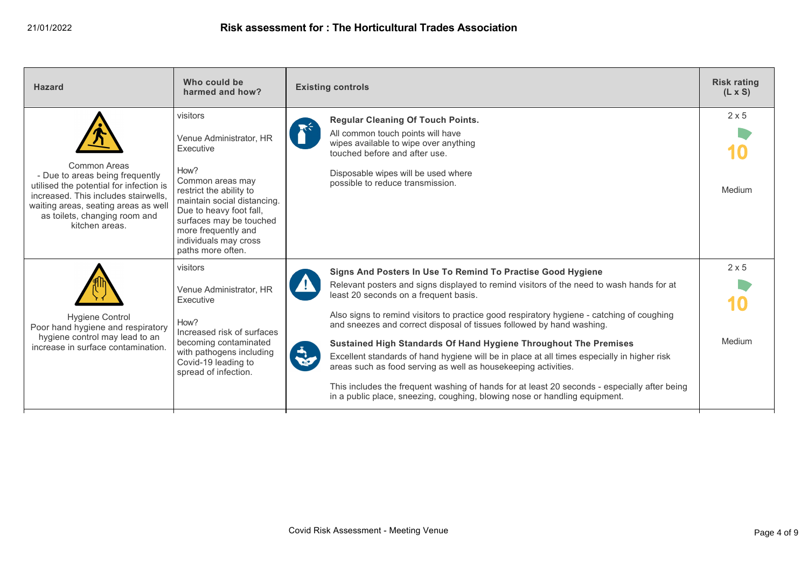| <b>Hazard</b>                                                                                                                                                                                                                 | Who could be<br>harmed and how?                                                                                                                                                                                                                                   | <b>Existing controls</b>                                                                                                                                                                                                                                                                                                                                                                                                                                                                                                                                                                                                                                                                                                                                                                                 | <b>Risk rating</b><br>$(L \times S)$ |
|-------------------------------------------------------------------------------------------------------------------------------------------------------------------------------------------------------------------------------|-------------------------------------------------------------------------------------------------------------------------------------------------------------------------------------------------------------------------------------------------------------------|----------------------------------------------------------------------------------------------------------------------------------------------------------------------------------------------------------------------------------------------------------------------------------------------------------------------------------------------------------------------------------------------------------------------------------------------------------------------------------------------------------------------------------------------------------------------------------------------------------------------------------------------------------------------------------------------------------------------------------------------------------------------------------------------------------|--------------------------------------|
| Common Areas<br>- Due to areas being frequently<br>utilised the potential for infection is<br>increased. This includes stairwells,<br>waiting areas, seating areas as well<br>as toilets, changing room and<br>kitchen areas. | visitors<br>Venue Administrator, HR<br>Executive<br>How?<br>Common areas may<br>restrict the ability to<br>maintain social distancing.<br>Due to heavy foot fall,<br>surfaces may be touched<br>more frequently and<br>individuals may cross<br>paths more often. | <b>Regular Cleaning Of Touch Points.</b><br>All common touch points will have<br>wipes available to wipe over anything<br>touched before and after use.<br>Disposable wipes will be used where<br>possible to reduce transmission.                                                                                                                                                                                                                                                                                                                                                                                                                                                                                                                                                                       | $2 \times 5$<br>Medium               |
| <b>Hygiene Control</b><br>Poor hand hygiene and respiratory<br>hygiene control may lead to an<br>increase in surface contamination.                                                                                           | visitors<br>Venue Administrator, HR<br>Executive<br>How?<br>Increased risk of surfaces<br>becoming contaminated<br>with pathogens including<br>Covid-19 leading to<br>spread of infection.                                                                        | Signs And Posters In Use To Remind To Practise Good Hygiene<br>Relevant posters and signs displayed to remind visitors of the need to wash hands for at<br>least 20 seconds on a frequent basis.<br>Also signs to remind visitors to practice good respiratory hygiene - catching of coughing<br>and sneezes and correct disposal of tissues followed by hand washing.<br>Sustained High Standards Of Hand Hygiene Throughout The Premises<br><b>Rode</b><br>Excellent standards of hand hygiene will be in place at all times especially in higher risk<br>areas such as food serving as well as housekeeping activities.<br>This includes the frequent washing of hands for at least 20 seconds - especially after being<br>in a public place, sneezing, coughing, blowing nose or handling equipment. | $2 \times 5$<br>Medium               |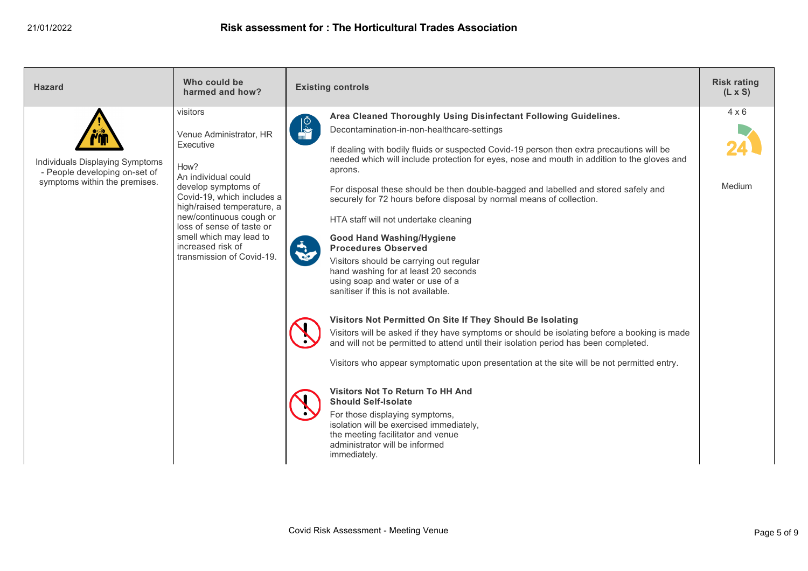| <b>Hazard</b>                                                                                     | Who could be<br>harmed and how?                                                                                                                                                                                                                                                                         | <b>Existing controls</b>                                                                                                                                                                                                                                                                                                                                                                                                                                                                                                                                                                                                                                                                                                                                                                                                                                                                                                                                                                                                                                                                                                                                                                                                                                                                                                                                                             | <b>Risk rating</b><br>$(L \times S)$ |
|---------------------------------------------------------------------------------------------------|---------------------------------------------------------------------------------------------------------------------------------------------------------------------------------------------------------------------------------------------------------------------------------------------------------|--------------------------------------------------------------------------------------------------------------------------------------------------------------------------------------------------------------------------------------------------------------------------------------------------------------------------------------------------------------------------------------------------------------------------------------------------------------------------------------------------------------------------------------------------------------------------------------------------------------------------------------------------------------------------------------------------------------------------------------------------------------------------------------------------------------------------------------------------------------------------------------------------------------------------------------------------------------------------------------------------------------------------------------------------------------------------------------------------------------------------------------------------------------------------------------------------------------------------------------------------------------------------------------------------------------------------------------------------------------------------------------|--------------------------------------|
| Individuals Displaying Symptoms<br>- People developing on-set of<br>symptoms within the premises. | visitors<br>Venue Administrator, HR<br>Executive<br>How?<br>An individual could<br>develop symptoms of<br>Covid-19, which includes a<br>high/raised temperature, a<br>new/continuous cough or<br>loss of sense of taste or<br>smell which may lead to<br>increased risk of<br>transmission of Covid-19. | Area Cleaned Thoroughly Using Disinfectant Following Guidelines.<br><b>DESCRIPTION</b><br>Decontamination-in-non-healthcare-settings<br>If dealing with bodily fluids or suspected Covid-19 person then extra precautions will be<br>needed which will include protection for eyes, nose and mouth in addition to the gloves and<br>aprons.<br>For disposal these should be then double-bagged and labelled and stored safely and<br>securely for 72 hours before disposal by normal means of collection.<br>HTA staff will not undertake cleaning<br><b>Good Hand Washing/Hygiene</b><br><b>Procedures Observed</b><br>Visitors should be carrying out regular<br>hand washing for at least 20 seconds<br>using soap and water or use of a<br>sanitiser if this is not available.<br>Visitors Not Permitted On Site If They Should Be Isolating<br>Visitors will be asked if they have symptoms or should be isolating before a booking is made<br>and will not be permitted to attend until their isolation period has been completed.<br>Visitors who appear symptomatic upon presentation at the site will be not permitted entry.<br><b>Visitors Not To Return To HH And</b><br><b>Should Self-Isolate</b><br>For those displaying symptoms,<br>isolation will be exercised immediately,<br>the meeting facilitator and venue<br>administrator will be informed<br>immediately. | $4 \times 6$<br>Medium               |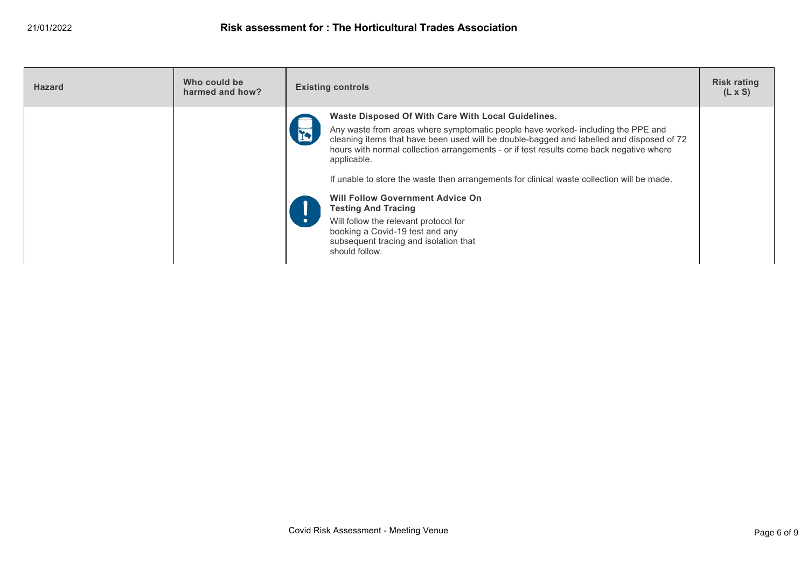| <b>Hazard</b> | Who could be<br>harmed and how? | <b>Existing controls</b>                                                                                                                                                                                                                                                                                                                                                                                                                                                                                                                                                                                                                                                |  |
|---------------|---------------------------------|-------------------------------------------------------------------------------------------------------------------------------------------------------------------------------------------------------------------------------------------------------------------------------------------------------------------------------------------------------------------------------------------------------------------------------------------------------------------------------------------------------------------------------------------------------------------------------------------------------------------------------------------------------------------------|--|
|               |                                 | Waste Disposed Of With Care With Local Guidelines.<br>Any waste from areas where symptomatic people have worked- including the PPE and<br><b>TV</b><br>cleaning items that have been used will be double-bagged and labelled and disposed of 72<br>hours with normal collection arrangements - or if test results come back negative where<br>applicable.<br>If unable to store the waste then arrangements for clinical waste collection will be made.<br><b>Will Follow Government Advice On</b><br><b>Testing And Tracing</b><br>Will follow the relevant protocol for<br>booking a Covid-19 test and any<br>subsequent tracing and isolation that<br>should follow. |  |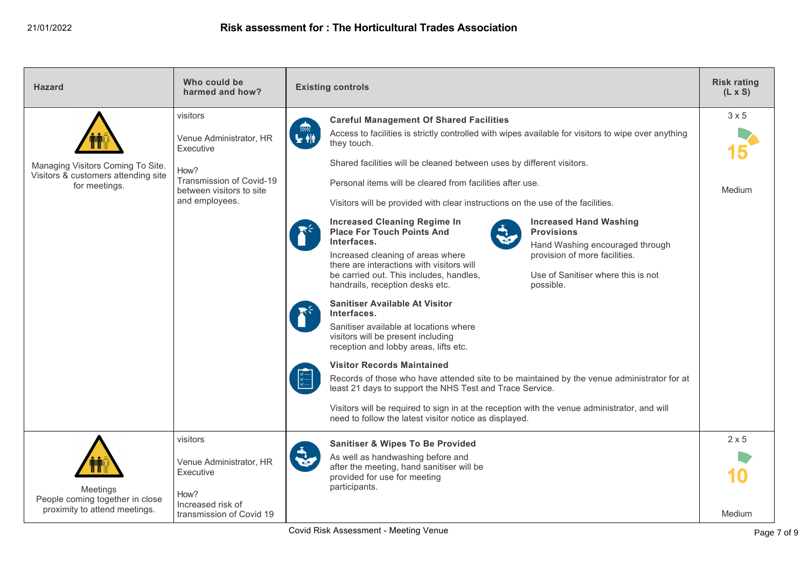| <b>Hazard</b>                                                                             | Who could be<br>harmed and how?                                                                                                    | <b>Existing controls</b>                                                                                                                                                                                                                                                                                                                                                                                                                                                                                                                                                                                                                                                                                                                                                                                                                                                                                                                                                                                                                                                                                                                                                                                                                                                                                                                                                        | <b>Risk rating</b><br>$(L \times S)$ |
|-------------------------------------------------------------------------------------------|------------------------------------------------------------------------------------------------------------------------------------|---------------------------------------------------------------------------------------------------------------------------------------------------------------------------------------------------------------------------------------------------------------------------------------------------------------------------------------------------------------------------------------------------------------------------------------------------------------------------------------------------------------------------------------------------------------------------------------------------------------------------------------------------------------------------------------------------------------------------------------------------------------------------------------------------------------------------------------------------------------------------------------------------------------------------------------------------------------------------------------------------------------------------------------------------------------------------------------------------------------------------------------------------------------------------------------------------------------------------------------------------------------------------------------------------------------------------------------------------------------------------------|--------------------------------------|
| Managing Visitors Coming To Site.<br>Visitors & customers attending site<br>for meetings. | visitors<br>Venue Administrator, HR<br>Executive<br>How?<br>Transmission of Covid-19<br>between visitors to site<br>and employees. | <b>Careful Management Of Shared Facilities</b><br>Access to facilities is strictly controlled with wipes available for visitors to wipe over anything<br>they touch.<br>Shared facilities will be cleaned between uses by different visitors.<br>Personal items will be cleared from facilities after use.<br>Visitors will be provided with clear instructions on the use of the facilities.<br><b>Increased Cleaning Regime In</b><br><b>Increased Hand Washing</b><br><b>Place For Touch Points And</b><br><b>Provisions</b><br>Interfaces.<br>Hand Washing encouraged through<br>provision of more facilities.<br>Increased cleaning of areas where<br>there are interactions with visitors will<br>Use of Sanitiser where this is not<br>be carried out. This includes, handles,<br>handrails, reception desks etc.<br>possible.<br><b>Sanitiser Available At Visitor</b><br>Interfaces.<br>Sanitiser available at locations where<br>visitors will be present including<br>reception and lobby areas, lifts etc.<br><b>Visitor Records Maintained</b><br>Records of those who have attended site to be maintained by the venue administrator for at<br>least 21 days to support the NHS Test and Trace Service.<br>Visitors will be required to sign in at the reception with the venue administrator, and will<br>need to follow the latest visitor notice as displayed. | $3 \times 5$<br>Medium               |
| Meetings<br>People coming together in close<br>proximity to attend meetings.              | visitors<br>Venue Administrator, HR<br>Executive<br>How?<br>Increased risk of<br>transmission of Covid 19                          | <b>Sanitiser &amp; Wipes To Be Provided</b><br>As well as handwashing before and<br>after the meeting, hand sanitiser will be<br>provided for use for meeting<br>participants.                                                                                                                                                                                                                                                                                                                                                                                                                                                                                                                                                                                                                                                                                                                                                                                                                                                                                                                                                                                                                                                                                                                                                                                                  | $2 \times 5$<br>Medium               |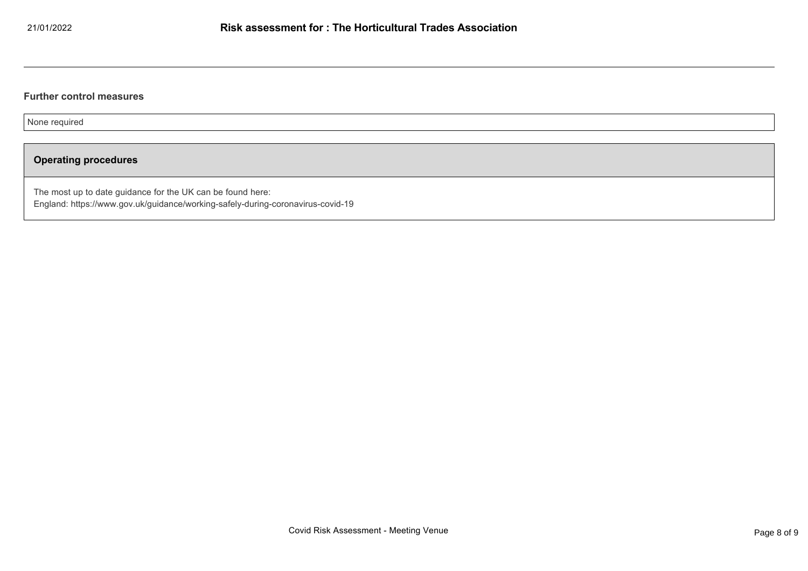## **Further control measures**

None required

# **Operating procedures**

The most up to date guidance for the UK can be found here: England: https://www.gov.uk/guidance/working-safely-during-coronavirus-covid-19